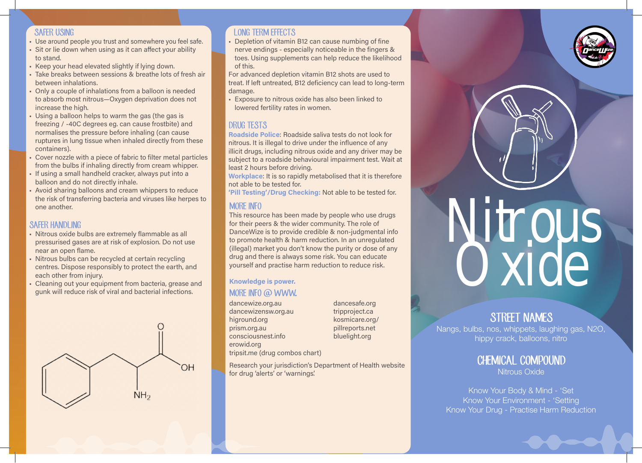### SAFER USING

- Use around people you trust and somewhere you feel safe.
- Sit or lie down when using as it can affect your ability to stand.
- Keep your head elevated slightly if lying down.
- Take breaks between sessions & breathe lots of fresh air between inhalations.
- Only a couple of inhalations from a balloon is needed to absorb most nitrous—Oxygen deprivation does not increase the high.
- Using a balloon helps to warm the gas (the gas is freezing / -40C degrees eg. can cause frostbite) and normalises the pressure before inhaling (can cause ruptures in lung tissue when inhaled directly from these containers).
- Cover nozzle with a piece of fabric to filter metal particles from the bulbs if inhaling directly from cream whipper.
- If using a small handheld cracker, always put into a balloon and do not directly inhale.
- Avoid sharing balloons and cream whippers to reduce the risk of transferring bacteria and viruses like herpes to one another.

# SAFFR HANDLING

- Nitrous oxide bulbs are extremely flammable as all pressurised gases are at risk of explosion. Do not use near an open flame.
- Nitrous bulbs can be recycled at certain recycling centres. Dispose responsibly to protect the earth, and each other from injury.
- Cleaning out your equipment from bacteria, grease and gunk will reduce risk of viral and bacterial infections.



# **LONG TERM FEFECTS**

• Depletion of vitamin B12 can cause numbing of fine nerve endings - especially noticeable in the fingers & toes. Using supplements can help reduce the likelihood of this.

For advanced depletion vitamin B12 shots are used to treat. If left untreated, B12 deficiency can lead to long-term damage.

• Exposure to nitrous oxide has also been linked to lowered fertility rates in women.

# DRUG TESTS

Roadside Police: Roadside saliva tests do not look for nitrous. It is illegal to drive under the influence of any illicit drugs, including nitrous oxide and any driver may be subject to a roadside behavioural impairment test. Wait at least 2 hours before driving.

Workplace: It is so rapidly metabolised that it is therefore not able to be tested for.

'Pill Testing'/Drug Checking: Not able to be tested for.

# MORE INFO

This resource has been made by people who use drugs for their peers & the wider community. The role of DanceWize is to provide credible & non-judgmental info to promote health & harm reduction. In an unregulated (illegal) market you don't know the purity or dose of any drug and there is always some risk. You can educate yourself and practise harm reduction to reduce risk.

### MORE INFO @ WWW. Knowledge is power.

dancewize.org.au dancewizensw.org.au higround.org prism.org.au consciousnest.info erowid.org tripsit.me (drug combos chart) dancesafe.org tripproject.ca kosmicare.org/ pillreports.net bluelight.org

Research your jurisdiction's Department of Health website for drug 'alerts' or 'warnings'.

Nitrous<br>Oxide

# STREET NAMES

Nangs, bulbs, nos, whippets, laughing gas, N2O, hippy crack, balloons, nitro

> CHEMICAL COMPOUND Nitrous Oxide

Know Your Body & Mind - 'Set Know Your Environment - 'Setting Know Your Drug - Practise Harm Reduction